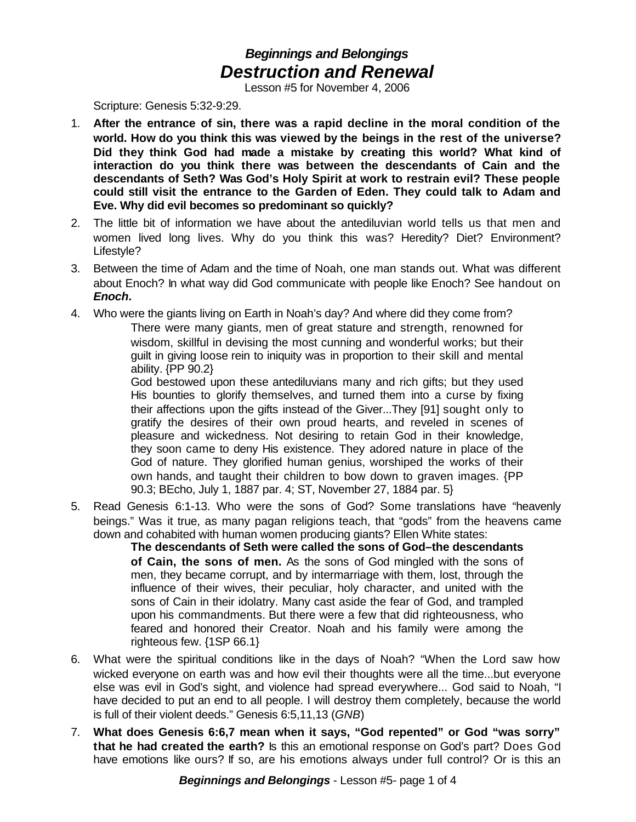## *Beginnings and Belongings Destruction and Renewal*

Lesson #5 for November 4, 2006

Scripture: Genesis 5:32-9:29.

- 1. **After the entrance of sin, there was a rapid decline in the moral condition of the world. How do you think this was viewed by the beings in the rest of the universe? Did they think God had made a mistake by creating this world? What kind of interaction do you think there was between the descendants of Cain and the descendants of Seth? Was God's Holy Spirit at work to restrain evil? These people could still visit the entrance to the Garden of Eden. They could talk to Adam and Eve. Why did evil becomes so predominant so quickly?**
- 2. The little bit of information we have about the antediluvian world tells us that men and women lived long lives. Why do you think this was? Heredity? Diet? Environment? Lifestyle?
- 3. Between the time of Adam and the time of Noah, one man stands out. What was different about Enoch? In what way did God communicate with people like Enoch? See handout on *Enoch***.**
- 4. Who were the giants living on Earth in Noah's day? And where did they come from? There were many giants, men of great stature and strength, renowned for wisdom, skillful in devising the most cunning and wonderful works; but their guilt in giving loose rein to iniquity was in proportion to their skill and mental ability. {PP 90.2}

God bestowed upon these antediluvians many and rich gifts; but they used His bounties to glorify themselves, and turned them into a curse by fixing their affections upon the gifts instead of the Giver...They [91] sought only to gratify the desires of their own proud hearts, and reveled in scenes of pleasure and wickedness. Not desiring to retain God in their knowledge, they soon came to deny His existence. They adored nature in place of the God of nature. They glorified human genius, worshiped the works of their own hands, and taught their children to bow down to graven images. {PP 90.3; BEcho, July 1, 1887 par. 4; ST, November 27, 1884 par. 5}

5. Read Genesis 6:1-13. Who were the sons of God? Some translations have "heavenly beings." Was it true, as many pagan religions teach, that "gods" from the heavens came down and cohabited with human women producing giants? Ellen White states:

**The descendants of Seth were called the sons of God–the descendants of Cain, the sons of men.** As the sons of God mingled with the sons of men, they became corrupt, and by intermarriage with them, lost, through the influence of their wives, their peculiar, holy character, and united with the sons of Cain in their idolatry. Many cast aside the fear of God, and trampled upon his commandments. But there were a few that did righteousness, who feared and honored their Creator. Noah and his family were among the righteous few. {1SP 66.1}

- 6. What were the spiritual conditions like in the days of Noah? "When the Lord saw how wicked everyone on earth was and how evil their thoughts were all the time...but everyone else was evil in God's sight, and violence had spread everywhere... God said to Noah, "I have decided to put an end to all people. I will destroy them completely, because the world is full of their violent deeds." Genesis 6:5,11,13 (*GNB*)
- 7. **What does Genesis 6:6,7 mean when it says, "God repented" or God "was sorry" that he had created the earth?** Is this an emotional response on God's part? Does God have emotions like ours? If so, are his emotions always under full control? Or is this an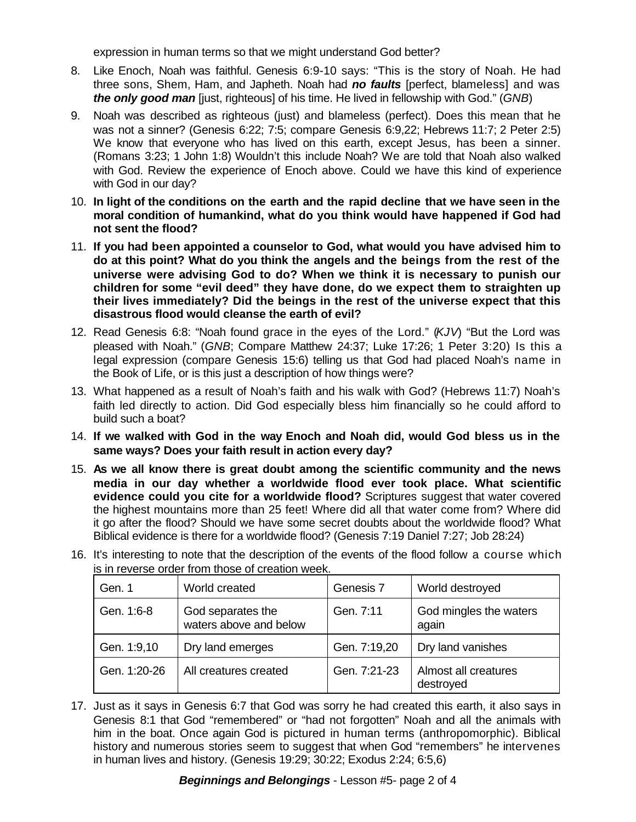expression in human terms so that we might understand God better?

- 8. Like Enoch, Noah was faithful. Genesis 6:9-10 says: "This is the story of Noah. He had three sons, Shem, Ham, and Japheth. Noah had *no faults* [perfect, blameless] and was *the only good man* [just, righteous] of his time. He lived in fellowship with God." (*GNB*)
- 9. Noah was described as righteous (just) and blameless (perfect). Does this mean that he was not a sinner? (Genesis 6:22; 7:5; compare Genesis 6:9,22; Hebrews 11:7; 2 Peter 2:5) We know that everyone who has lived on this earth, except Jesus, has been a sinner. (Romans 3:23; 1 John 1:8) Wouldn't this include Noah? We are told that Noah also walked with God. Review the experience of Enoch above. Could we have this kind of experience with God in our day?
- 10. **In light of the conditions on the earth and the rapid decline that we have seen in the moral condition of humankind, what do you think would have happened if God had not sent the flood?**
- 11. **If you had been appointed a counselor to God, what would you have advised him to do at this point? What do you think the angels and the beings from the rest of the universe were advising God to do? When we think it is necessary to punish our children for some "evil deed" they have done, do we expect them to straighten up their lives immediately? Did the beings in the rest of the universe expect that this disastrous flood would cleanse the earth of evil?**
- 12. Read Genesis 6:8: "Noah found grace in the eyes of the Lord." (*KJV*) "But the Lord was pleased with Noah." (*GNB*; Compare Matthew 24:37; Luke 17:26; 1 Peter 3:20) Is this a legal expression (compare Genesis 15:6) telling us that God had placed Noah's name in the Book of Life, or is this just a description of how things were?
- 13. What happened as a result of Noah's faith and his walk with God? (Hebrews 11:7) Noah's faith led directly to action. Did God especially bless him financially so he could afford to build such a boat?
- 14. **If we walked with God in the way Enoch and Noah did, would God bless us in the same ways? Does your faith result in action every day?**
- 15. **As we all know there is great doubt among the scientific community and the news media in our day whether a worldwide flood ever took place. What scientific evidence could you cite for a worldwide flood?** Scriptures suggest that water covered the highest mountains more than 25 feet! Where did all that water come from? Where did it go after the flood? Should we have some secret doubts about the worldwide flood? What Biblical evidence is there for a worldwide flood? (Genesis 7:19 Daniel 7:27; Job 28:24)

| Gen. 1       | World created                               | Genesis 7    | World destroyed                   |
|--------------|---------------------------------------------|--------------|-----------------------------------|
| Gen. 1:6-8   | God separates the<br>waters above and below | Gen. 7:11    | God mingles the waters<br>again   |
| Gen. 1:9,10  | Dry land emerges                            | Gen. 7:19,20 | Dry land vanishes                 |
| Gen. 1:20-26 | All creatures created                       | Gen. 7:21-23 | Almost all creatures<br>destroyed |

16. It's interesting to note that the description of the events of the flood follow a course which is in reverse order from those of creation week.

17. Just as it says in Genesis 6:7 that God was sorry he had created this earth, it also says in Genesis 8:1 that God "remembered" or "had not forgotten" Noah and all the animals with him in the boat. Once again God is pictured in human terms (anthropomorphic). Biblical history and numerous stories seem to suggest that when God "remembers" he intervenes in human lives and history. (Genesis 19:29; 30:22; Exodus 2:24; 6:5,6)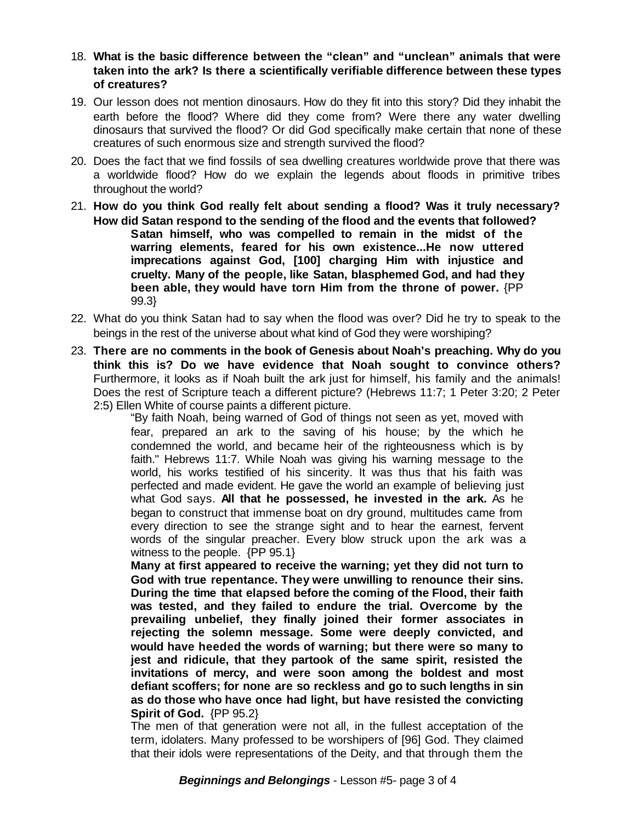- 18. **What is the basic difference between the "clean" and "unclean" animals that were taken into the ark? Is there a scientifically verifiable difference between these types of creatures?**
- 19. Our lesson does not mention dinosaurs. How do they fit into this story? Did they inhabit the earth before the flood? Where did they come from? Were there any water dwelling dinosaurs that survived the flood? Or did God specifically make certain that none of these creatures of such enormous size and strength survived the flood?
- 20. Does the fact that we find fossils of sea dwelling creatures worldwide prove that there was a worldwide flood? How do we explain the legends about floods in primitive tribes throughout the world?
- 21. **How do you think God really felt about sending a flood? Was it truly necessary? How did Satan respond to the sending of the flood and the events that followed? Satan himself, who was compelled to remain in the midst of the warring elements, feared for his own existence...He now uttered imprecations against God, [100] charging Him with injustice and cruelty. Many of the people, like Satan, blasphemed God, and had they been able, they would have torn Him from the throne of power.** {PP 99.3}
- 22. What do you think Satan had to say when the flood was over? Did he try to speak to the beings in the rest of the universe about what kind of God they were worshiping?
- 23. **There are no comments in the book of Genesis about Noah's preaching. Why do you think this is? Do we have evidence that Noah sought to convince others?** Furthermore, it looks as if Noah built the ark just for himself, his family and the animals! Does the rest of Scripture teach a different picture? (Hebrews 11:7; 1 Peter 3:20; 2 Peter 2:5) Ellen White of course paints a different picture.

"By faith Noah, being warned of God of things not seen as yet, moved with fear, prepared an ark to the saving of his house; by the which he condemned the world, and became heir of the righteousness which is by faith." Hebrews 11:7. While Noah was giving his warning message to the world, his works testified of his sincerity. It was thus that his faith was perfected and made evident. He gave the world an example of believing just what God says. **All that he possessed, he invested in the ark.** As he began to construct that immense boat on dry ground, multitudes came from every direction to see the strange sight and to hear the earnest, fervent words of the singular preacher. Every blow struck upon the ark was a witness to the people. {PP 95.1}

**Many at first appeared to receive the warning; yet they did not turn to God with true repentance. They were unwilling to renounce their sins. During the time that elapsed before the coming of the Flood, their faith was tested, and they failed to endure the trial. Overcome by the prevailing unbelief, they finally joined their former associates in rejecting the solemn message. Some were deeply convicted, and would have heeded the words of warning; but there were so many to jest and ridicule, that they partook of the same spirit, resisted the invitations of mercy, and were soon among the boldest and most defiant scoffers; for none are so reckless and go to such lengths in sin as do those who have once had light, but have resisted the convicting Spirit of God.** {PP 95.2}

The men of that generation were not all, in the fullest acceptation of the term, idolaters. Many professed to be worshipers of [96] God. They claimed that their idols were representations of the Deity, and that through them the